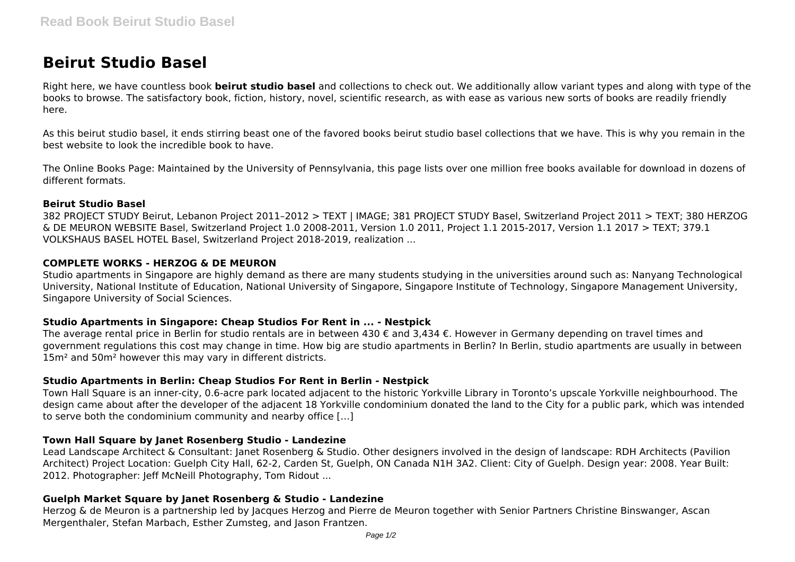# **Beirut Studio Basel**

Right here, we have countless book **beirut studio basel** and collections to check out. We additionally allow variant types and along with type of the books to browse. The satisfactory book, fiction, history, novel, scientific research, as with ease as various new sorts of books are readily friendly here.

As this beirut studio basel, it ends stirring beast one of the favored books beirut studio basel collections that we have. This is why you remain in the best website to look the incredible book to have.

The Online Books Page: Maintained by the University of Pennsylvania, this page lists over one million free books available for download in dozens of different formats.

#### **Beirut Studio Basel**

382 PROJECT STUDY Beirut, Lebanon Project 2011–2012 > TEXT | IMAGE; 381 PROJECT STUDY Basel, Switzerland Project 2011 > TEXT; 380 HERZOG & DE MEURON WEBSITE Basel, Switzerland Project 1.0 2008-2011, Version 1.0 2011, Project 1.1 2015-2017, Version 1.1 2017 > TEXT; 379.1 VOLKSHAUS BASEL HOTEL Basel, Switzerland Project 2018-2019, realization ...

## **COMPLETE WORKS - HERZOG & DE MEURON**

Studio apartments in Singapore are highly demand as there are many students studying in the universities around such as: Nanyang Technological University, National Institute of Education, National University of Singapore, Singapore Institute of Technology, Singapore Management University, Singapore University of Social Sciences.

## **Studio Apartments in Singapore: Cheap Studios For Rent in ... - Nestpick**

The average rental price in Berlin for studio rentals are in between 430 € and 3,434 €. However in Germany depending on travel times and government regulations this cost may change in time. How big are studio apartments in Berlin? In Berlin, studio apartments are usually in between 15m<sup>2</sup> and 50m<sup>2</sup> however this may vary in different districts.

## **Studio Apartments in Berlin: Cheap Studios For Rent in Berlin - Nestpick**

Town Hall Square is an inner-city, 0.6-acre park located adjacent to the historic Yorkville Library in Toronto's upscale Yorkville neighbourhood. The design came about after the developer of the adjacent 18 Yorkville condominium donated the land to the City for a public park, which was intended to serve both the condominium community and nearby office […]

## **Town Hall Square by Janet Rosenberg Studio - Landezine**

Lead Landscape Architect & Consultant: Janet Rosenberg & Studio. Other designers involved in the design of landscape: RDH Architects (Pavilion Architect) Project Location: Guelph City Hall, 62-2, Carden St, Guelph, ON Canada N1H 3A2. Client: City of Guelph. Design year: 2008. Year Built: 2012. Photographer: Jeff McNeill Photography, Tom Ridout ...

## **Guelph Market Square by Janet Rosenberg & Studio - Landezine**

Herzog & de Meuron is a partnership led by Jacques Herzog and Pierre de Meuron together with Senior Partners Christine Binswanger, Ascan Mergenthaler, Stefan Marbach, Esther Zumsteg, and Jason Frantzen.